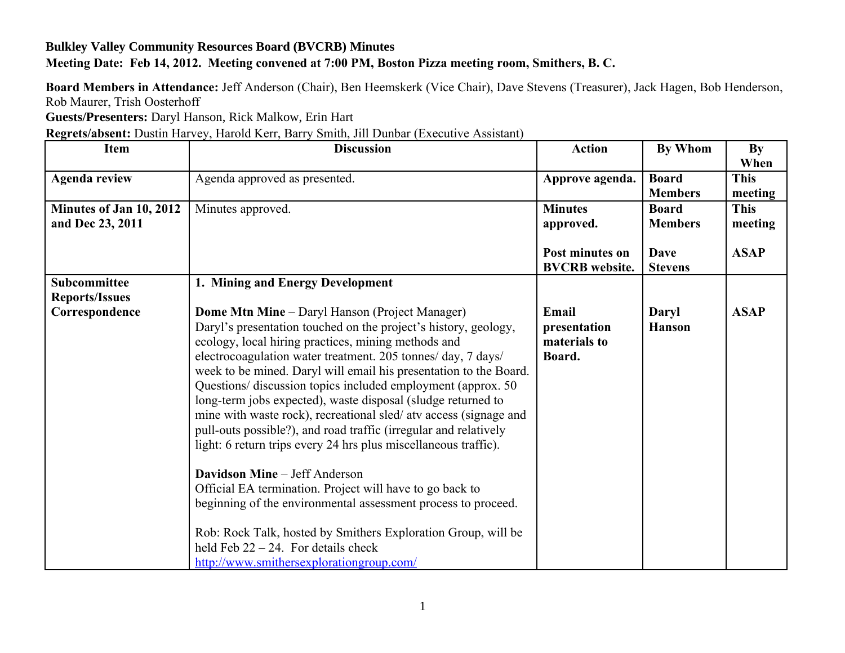## **Bulkley Valley Community Resources Board (BVCRB) Minutes Meeting Date: Feb 14, 2012. Meeting convened at 7:00 PM, Boston Pizza meeting room, Smithers, B. C.**

**Board Members in Attendance:** Jeff Anderson (Chair), Ben Heemskerk (Vice Chair), Dave Stevens (Treasurer), Jack Hagen, Bob Henderson, Rob Maurer, Trish Oosterhoff

**Guests/Presenters:** Daryl Hanson, Rick Malkow, Erin Hart

**Regrets/absent:** Dustin Harvey, Harold Kerr, Barry Smith, Jill Dunbar (Executive Assistant)

| <b>Item</b>                                 | <b>Discussion</b>                                                                                                                                                                                                                                                                                                                                                                                                                                                                                                                                                                                                                                                 | <b>Action</b>                                   | By Whom                        | <b>By</b><br>When      |
|---------------------------------------------|-------------------------------------------------------------------------------------------------------------------------------------------------------------------------------------------------------------------------------------------------------------------------------------------------------------------------------------------------------------------------------------------------------------------------------------------------------------------------------------------------------------------------------------------------------------------------------------------------------------------------------------------------------------------|-------------------------------------------------|--------------------------------|------------------------|
| <b>Agenda review</b>                        | Agenda approved as presented.                                                                                                                                                                                                                                                                                                                                                                                                                                                                                                                                                                                                                                     | Approve agenda.                                 | <b>Board</b><br><b>Members</b> | <b>This</b><br>meeting |
| Minutes of Jan 10, 2012<br>and Dec 23, 2011 | Minutes approved.                                                                                                                                                                                                                                                                                                                                                                                                                                                                                                                                                                                                                                                 | <b>Minutes</b><br>approved.                     | <b>Board</b><br><b>Members</b> | <b>This</b><br>meeting |
|                                             |                                                                                                                                                                                                                                                                                                                                                                                                                                                                                                                                                                                                                                                                   | Post minutes on<br><b>BVCRB</b> website.        | <b>Dave</b><br><b>Stevens</b>  | <b>ASAP</b>            |
| Subcommittee                                | 1. Mining and Energy Development                                                                                                                                                                                                                                                                                                                                                                                                                                                                                                                                                                                                                                  |                                                 |                                |                        |
| <b>Reports/Issues</b><br>Correspondence     | <b>Dome Mtn Mine</b> – Daryl Hanson (Project Manager)<br>Daryl's presentation touched on the project's history, geology,<br>ecology, local hiring practices, mining methods and<br>electrocoagulation water treatment. 205 tonnes/ day, 7 days/<br>week to be mined. Daryl will email his presentation to the Board.<br>Questions/ discussion topics included employment (approx. 50)<br>long-term jobs expected), waste disposal (sludge returned to<br>mine with waste rock), recreational sled/ atv access (signage and<br>pull-outs possible?), and road traffic (irregular and relatively<br>light: 6 return trips every 24 hrs plus miscellaneous traffic). | Email<br>presentation<br>materials to<br>Board. | Daryl<br><b>Hanson</b>         | <b>ASAP</b>            |
|                                             | <b>Davidson Mine - Jeff Anderson</b><br>Official EA termination. Project will have to go back to<br>beginning of the environmental assessment process to proceed.<br>Rob: Rock Talk, hosted by Smithers Exploration Group, will be<br>held Feb $22 - 24$ . For details check<br>http://www.smithersexplorationgroup.com/                                                                                                                                                                                                                                                                                                                                          |                                                 |                                |                        |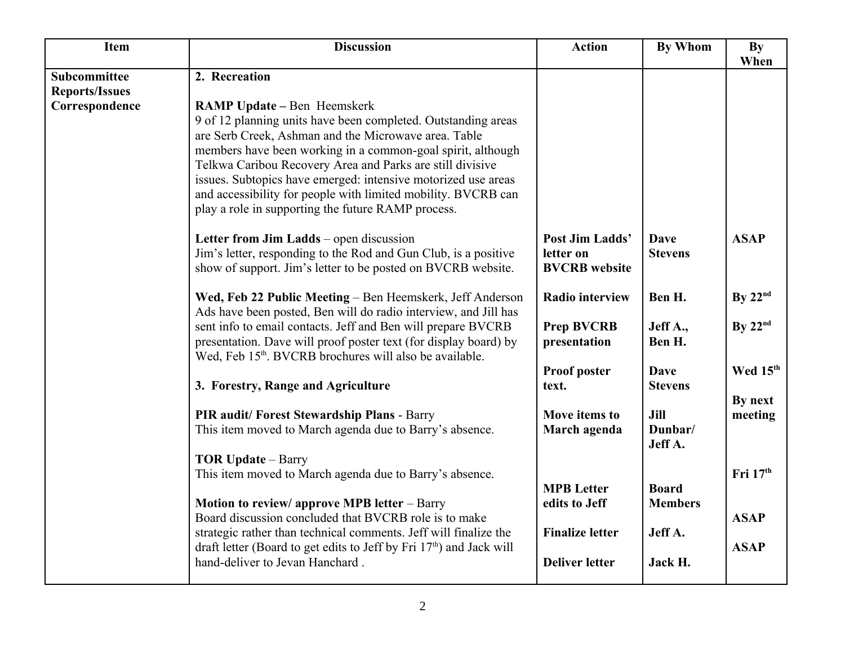| <b>Item</b>           | <b>Discussion</b>                                                                                                                                                                                                                                                                                                                                                                                                                                                               | <b>Action</b>                                        | <b>By Whom</b>                 | <b>By</b>          |
|-----------------------|---------------------------------------------------------------------------------------------------------------------------------------------------------------------------------------------------------------------------------------------------------------------------------------------------------------------------------------------------------------------------------------------------------------------------------------------------------------------------------|------------------------------------------------------|--------------------------------|--------------------|
| Subcommittee          | 2. Recreation                                                                                                                                                                                                                                                                                                                                                                                                                                                                   |                                                      |                                | When               |
| <b>Reports/Issues</b> |                                                                                                                                                                                                                                                                                                                                                                                                                                                                                 |                                                      |                                |                    |
| Correspondence        | <b>RAMP Update – Ben Heemskerk</b><br>9 of 12 planning units have been completed. Outstanding areas<br>are Serb Creek, Ashman and the Microwave area. Table<br>members have been working in a common-goal spirit, although<br>Telkwa Caribou Recovery Area and Parks are still divisive<br>issues. Subtopics have emerged: intensive motorized use areas<br>and accessibility for people with limited mobility. BVCRB can<br>play a role in supporting the future RAMP process. |                                                      |                                |                    |
|                       | Letter from Jim Ladds – open discussion<br>Jim's letter, responding to the Rod and Gun Club, is a positive<br>show of support. Jim's letter to be posted on BVCRB website.                                                                                                                                                                                                                                                                                                      | Post Jim Ladds'<br>letter on<br><b>BVCRB</b> website | <b>Dave</b><br><b>Stevens</b>  | <b>ASAP</b>        |
|                       | Wed, Feb 22 Public Meeting - Ben Heemskerk, Jeff Anderson<br>Ads have been posted, Ben will do radio interview, and Jill has                                                                                                                                                                                                                                                                                                                                                    | <b>Radio interview</b>                               | Ben H.                         | By $22nd$          |
|                       | sent info to email contacts. Jeff and Ben will prepare BVCRB<br>presentation. Dave will proof poster text (for display board) by<br>Wed, Feb 15 <sup>th</sup> . BVCRB brochures will also be available.                                                                                                                                                                                                                                                                         | <b>Prep BVCRB</b><br>presentation                    | Jeff A.,<br>Ben H.             | By $22nd$          |
|                       | 3. Forestry, Range and Agriculture                                                                                                                                                                                                                                                                                                                                                                                                                                              | Proof poster<br>text.                                | <b>Dave</b><br><b>Stevens</b>  | Wed 15th           |
|                       | PIR audit/ Forest Stewardship Plans - Barry<br>This item moved to March agenda due to Barry's absence.                                                                                                                                                                                                                                                                                                                                                                          | Move items to<br>March agenda                        | Jill<br>Dunbar/<br>Jeff A.     | By next<br>meeting |
|                       | <b>TOR Update - Barry</b><br>This item moved to March agenda due to Barry's absence.                                                                                                                                                                                                                                                                                                                                                                                            |                                                      |                                | Fri $17th$         |
|                       | Motion to review/ approve MPB letter - Barry<br>Board discussion concluded that BVCRB role is to make                                                                                                                                                                                                                                                                                                                                                                           | <b>MPB</b> Letter<br>edits to Jeff                   | <b>Board</b><br><b>Members</b> | <b>ASAP</b>        |
|                       | strategic rather than technical comments. Jeff will finalize the<br>draft letter (Board to get edits to Jeff by Fri 17 <sup>th</sup> ) and Jack will                                                                                                                                                                                                                                                                                                                            | <b>Finalize letter</b>                               | Jeff A.                        | <b>ASAP</b>        |
|                       | hand-deliver to Jevan Hanchard                                                                                                                                                                                                                                                                                                                                                                                                                                                  | <b>Deliver letter</b>                                | Jack H.                        |                    |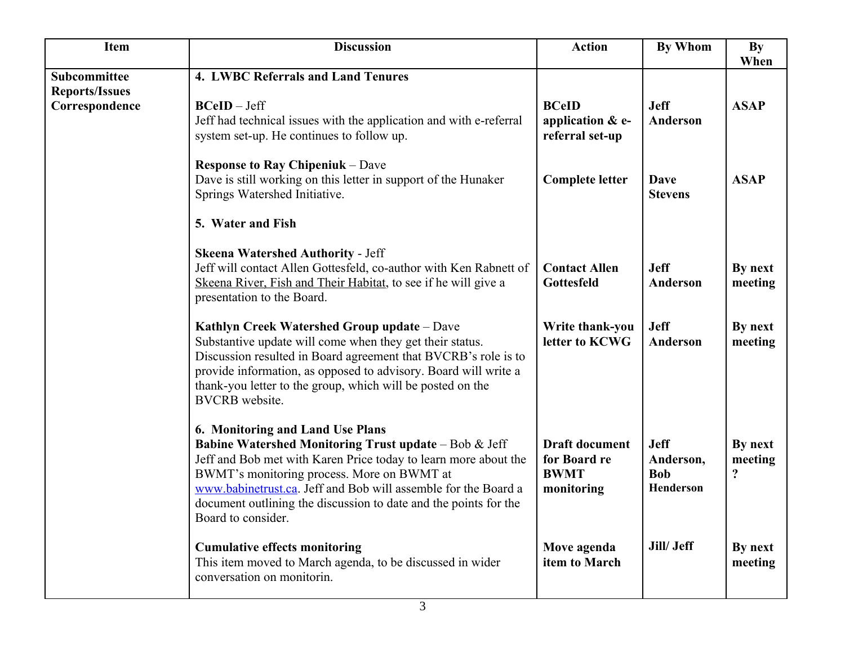| <b>Item</b>                           | <b>Discussion</b>                                                                                                                                                                                                                                                                                                                                                                 | <b>Action</b>                                                      | By Whom                                             | <b>By</b><br>When       |
|---------------------------------------|-----------------------------------------------------------------------------------------------------------------------------------------------------------------------------------------------------------------------------------------------------------------------------------------------------------------------------------------------------------------------------------|--------------------------------------------------------------------|-----------------------------------------------------|-------------------------|
| Subcommittee<br><b>Reports/Issues</b> | 4. LWBC Referrals and Land Tenures                                                                                                                                                                                                                                                                                                                                                |                                                                    |                                                     |                         |
| Correspondence                        | <b>BCeID</b> - Jeff<br>Jeff had technical issues with the application and with e-referral<br>system set-up. He continues to follow up.                                                                                                                                                                                                                                            | <b>BCeID</b><br>application & e-<br>referral set-up                | <b>Jeff</b><br>Anderson                             | <b>ASAP</b>             |
|                                       | <b>Response to Ray Chipeniuk – Dave</b><br>Dave is still working on this letter in support of the Hunaker<br>Springs Watershed Initiative.                                                                                                                                                                                                                                        | <b>Complete letter</b>                                             | <b>Dave</b><br><b>Stevens</b>                       | <b>ASAP</b>             |
|                                       | 5. Water and Fish                                                                                                                                                                                                                                                                                                                                                                 |                                                                    |                                                     |                         |
|                                       | <b>Skeena Watershed Authority - Jeff</b><br>Jeff will contact Allen Gottesfeld, co-author with Ken Rabnett of<br>Skeena River, Fish and Their Habitat, to see if he will give a<br>presentation to the Board.                                                                                                                                                                     | <b>Contact Allen</b><br>Gottesfeld                                 | <b>Jeff</b><br>Anderson                             | By next<br>meeting      |
|                                       | Kathlyn Creek Watershed Group update - Dave<br>Substantive update will come when they get their status.<br>Discussion resulted in Board agreement that BVCRB's role is to<br>provide information, as opposed to advisory. Board will write a<br>thank-you letter to the group, which will be posted on the<br><b>BVCRB</b> website.                                               | Write thank-you<br>letter to KCWG                                  | <b>Jeff</b><br>Anderson                             | By next<br>meeting      |
|                                       | 6. Monitoring and Land Use Plans<br><b>Babine Watershed Monitoring Trust update - Bob &amp; Jeff</b><br>Jeff and Bob met with Karen Price today to learn more about the<br>BWMT's monitoring process. More on BWMT at<br>www.babinetrust.ca. Jeff and Bob will assemble for the Board a<br>document outlining the discussion to date and the points for the<br>Board to consider. | <b>Draft document</b><br>for Board re<br><b>BWMT</b><br>monitoring | <b>Jeff</b><br>Anderson,<br><b>Bob</b><br>Henderson | By next<br>meeting<br>? |
|                                       | <b>Cumulative effects monitoring</b><br>This item moved to March agenda, to be discussed in wider<br>conversation on monitorin.                                                                                                                                                                                                                                                   | Move agenda<br>item to March                                       | Jill/ Jeff                                          | By next<br>meeting      |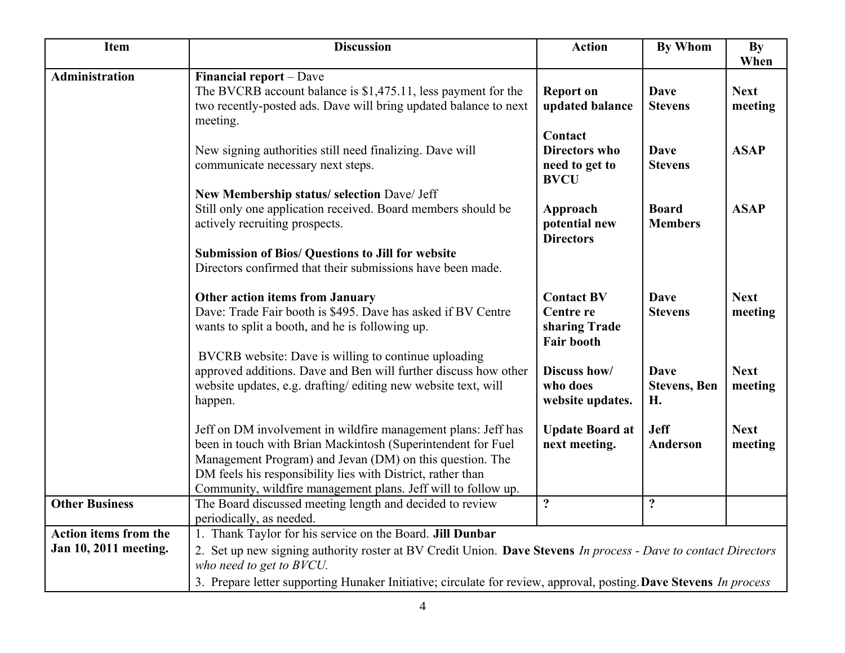| <b>Item</b>                  | <b>Discussion</b>                                                                                                                             | <b>Action</b>                                   | <b>By Whom</b>                            | <b>By</b><br>When      |
|------------------------------|-----------------------------------------------------------------------------------------------------------------------------------------------|-------------------------------------------------|-------------------------------------------|------------------------|
| <b>Administration</b>        | Financial report - Dave                                                                                                                       |                                                 |                                           |                        |
|                              | The BVCRB account balance is \$1,475.11, less payment for the<br>two recently-posted ads. Dave will bring updated balance to next<br>meeting. | <b>Report on</b><br>updated balance             | <b>Dave</b><br><b>Stevens</b>             | <b>Next</b><br>meeting |
|                              |                                                                                                                                               | Contact                                         |                                           |                        |
|                              | New signing authorities still need finalizing. Dave will<br>communicate necessary next steps.                                                 | Directors who<br>need to get to<br><b>BVCU</b>  | <b>Dave</b><br><b>Stevens</b>             | <b>ASAP</b>            |
|                              | New Membership status/ selection Dave/ Jeff                                                                                                   |                                                 |                                           |                        |
|                              | Still only one application received. Board members should be<br>actively recruiting prospects.                                                | Approach<br>potential new<br><b>Directors</b>   | <b>Board</b><br><b>Members</b>            | <b>ASAP</b>            |
|                              | <b>Submission of Bios/ Questions to Jill for website</b>                                                                                      |                                                 |                                           |                        |
|                              | Directors confirmed that their submissions have been made.                                                                                    |                                                 |                                           |                        |
|                              | <b>Other action items from January</b>                                                                                                        | <b>Contact BV</b>                               | <b>Dave</b>                               | <b>Next</b>            |
|                              | Dave: Trade Fair booth is \$495. Dave has asked if BV Centre<br>wants to split a booth, and he is following up.                               | Centre re<br>sharing Trade<br><b>Fair booth</b> | <b>Stevens</b>                            | meeting                |
|                              | BVCRB website: Dave is willing to continue uploading                                                                                          |                                                 |                                           |                        |
|                              | approved additions. Dave and Ben will further discuss how other<br>website updates, e.g. drafting/editing new website text, will<br>happen.   | Discuss how/<br>who does<br>website updates.    | <b>Dave</b><br><b>Stevens</b> , Ben<br>H. | <b>Next</b><br>meeting |
|                              | Jeff on DM involvement in wildfire management plans: Jeff has<br>been in touch with Brian Mackintosh (Superintendent for Fuel                 | <b>Update Board at</b><br>next meeting.         | <b>Jeff</b><br><b>Anderson</b>            | <b>Next</b><br>meeting |
|                              | Management Program) and Jevan (DM) on this question. The<br>DM feels his responsibility lies with District, rather than                       |                                                 |                                           |                        |
|                              | Community, wildfire management plans. Jeff will to follow up.                                                                                 |                                                 |                                           |                        |
| <b>Other Business</b>        | The Board discussed meeting length and decided to review<br>periodically, as needed.                                                          | $\ddot{?}$                                      | $\ddot{?}$                                |                        |
| <b>Action items from the</b> | 1. Thank Taylor for his service on the Board. Jill Dunbar                                                                                     |                                                 |                                           |                        |
| Jan 10, 2011 meeting.        | 2. Set up new signing authority roster at BV Credit Union. Dave Stevens In process - Dave to contact Directors<br>who need to get to BVCU.    |                                                 |                                           |                        |
|                              | 3. Prepare letter supporting Hunaker Initiative; circulate for review, approval, posting. Dave Stevens In process                             |                                                 |                                           |                        |